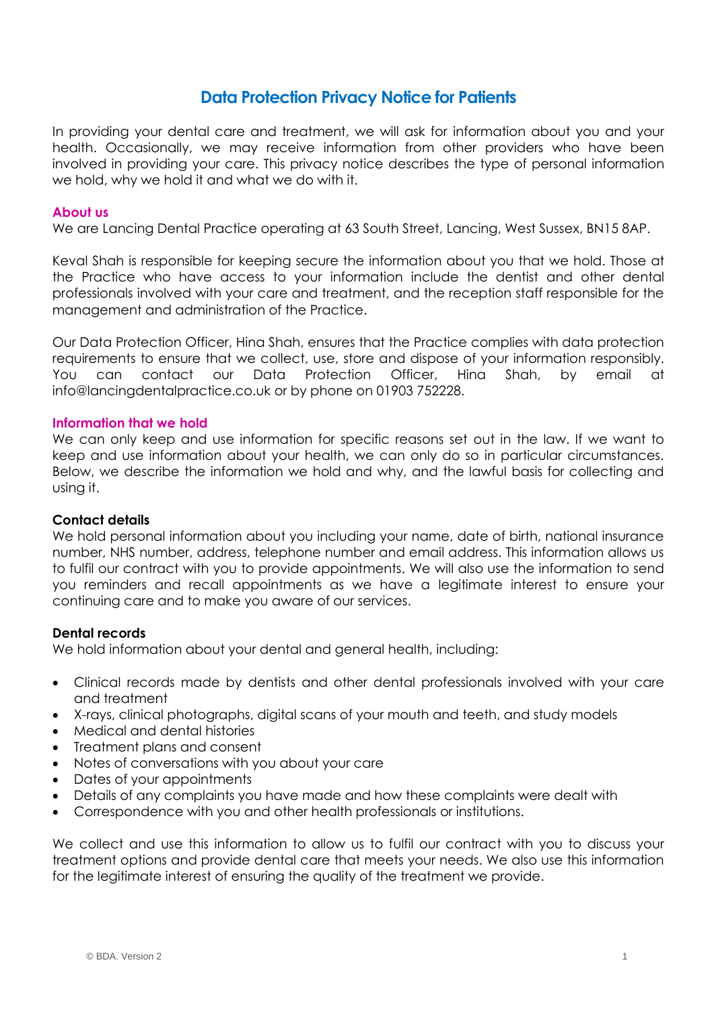# **Data Protection Privacy Notice for Patients**

In providing your dental care and treatment, we will ask for information about you and your health. Occasionally, we may receive information from other providers who have been involved in providing your care. This privacy notice describes the type of personal information we hold, why we hold it and what we do with it.

## **About us**

We are Lancing Dental Practice operating at 63 South Street, Lancing, West Sussex, BN15 8AP.

Keval Shah is responsible for keeping secure the information about you that we hold. Those at the Practice who have access to your information include the dentist and other dental professionals involved with your care and treatment, and the reception staff responsible for the management and administration of the Practice.

Our Data Protection Officer, Hina Shah, ensures that the Practice complies with data protection requirements to ensure that we collect, use, store and dispose of your information responsibly. You can contact our Data Protection Officer, Hina Shah, by email at info@lancingdentalpractice.co.uk or by phone on 01903 752228.

### **Information that we hold**

We can only keep and use information for specific reasons set out in the law. If we want to keep and use information about your health, we can only do so in particular circumstances. Below, we describe the information we hold and why, and the lawful basis for collecting and using it.

#### **Contact details**

We hold personal information about you including your name, date of birth, national insurance number, NHS number, address, telephone number and email address. This information allows us to fulfil our contract with you to provide appointments. We will also use the information to send you reminders and recall appointments as we have a legitimate interest to ensure your continuing care and to make you aware of our services.

## **Dental records**

We hold information about your dental and general health, including:

- Clinical records made by dentists and other dental professionals involved with your care and treatment
- X-rays, clinical photographs, digital scans of your mouth and teeth, and study models
- Medical and dental histories
- Treatment plans and consent
- Notes of conversations with you about your care
- Dates of your appointments
- Details of any complaints you have made and how these complaints were dealt with
- Correspondence with you and other health professionals or institutions.

We collect and use this information to allow us to fulfil our contract with you to discuss your treatment options and provide dental care that meets your needs. We also use this information for the legitimate interest of ensuring the quality of the treatment we provide.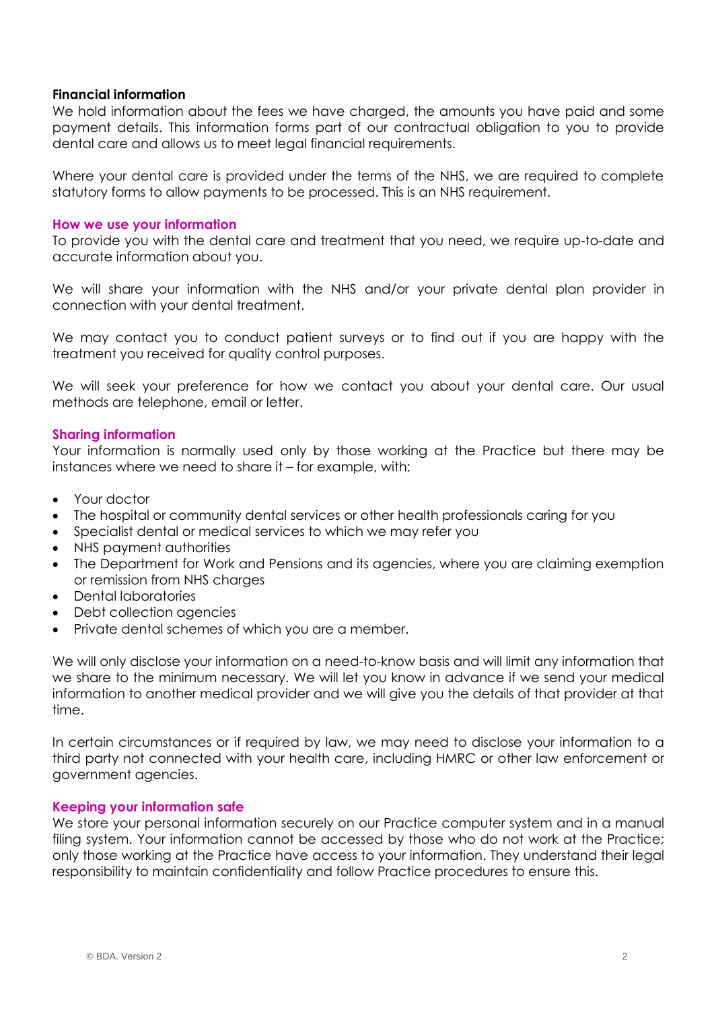## **Financial information**

We hold information about the fees we have charged, the amounts you have paid and some payment details. This information forms part of our contractual obligation to you to provide dental care and allows us to meet legal financial requirements.

Where your dental care is provided under the terms of the NHS, we are required to complete statutory forms to allow payments to be processed. This is an NHS requirement.

#### **How we use your information**

To provide you with the dental care and treatment that you need, we require up-to-date and accurate information about you.

We will share your information with the NHS and/or your private dental plan provider in connection with your dental treatment.

We may contact you to conduct patient surveys or to find out if you are happy with the treatment you received for quality control purposes.

We will seek your preference for how we contact you about your dental care. Our usual methods are telephone, email or letter.

## **Sharing information**

Your information is normally used only by those working at the Practice but there may be instances where we need to share it – for example, with:

- Your doctor
- The hospital or community dental services or other health professionals caring for you
- Specialist dental or medical services to which we may refer you
- NHS payment authorities
- The Department for Work and Pensions and its agencies, where you are claiming exemption or remission from NHS charges
- Dental laboratories
- Debt collection agencies
- Private dental schemes of which you are a member.

We will only disclose your information on a need-to-know basis and will limit any information that we share to the minimum necessary. We will let you know in advance if we send your medical information to another medical provider and we will give you the details of that provider at that time.

In certain circumstances or if required by law, we may need to disclose your information to a third party not connected with your health care, including HMRC or other law enforcement or government agencies.

#### **Keeping your information safe**

We store your personal information securely on our Practice computer system and in a manual filing system. Your information cannot be accessed by those who do not work at the Practice; only those working at the Practice have access to your information. They understand their legal responsibility to maintain confidentiality and follow Practice procedures to ensure this.